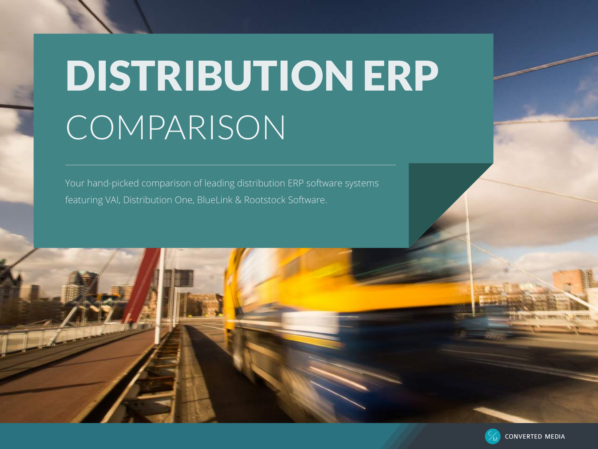# DISTRIBUTION ERP COMPARISON

Your hand-picked comparison of leading distribution ERP software systems featuring VAI, Distribution One, BlueLink & Rootstock Software.



M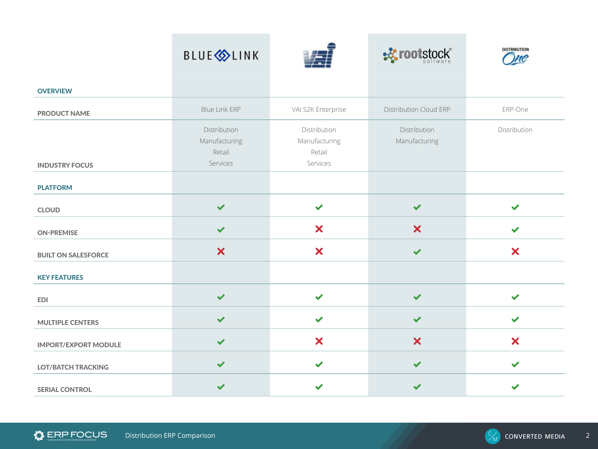|                             | <b>BLUE</b> <sup></sup>                             |                                                     | <b>BE rootstock</b> ®         | <b>DISTRIBUTION</b><br>me |
|-----------------------------|-----------------------------------------------------|-----------------------------------------------------|-------------------------------|---------------------------|
| <b>OVERVIEW</b>             |                                                     |                                                     |                               |                           |
| <b>PRODUCT NAME</b>         | <b>Blue Link ERP</b>                                | VAI S2K Enterprise                                  | Distribution Cloud ERP        | ERP-One                   |
|                             | Distribution<br>Manufacturing<br>Retail<br>Services | Distribution<br>Manufacturing<br>Retail<br>Services | Distribution<br>Manufacturing | Distribution              |
| <b>INDUSTRY FOCUS</b>       |                                                     |                                                     |                               |                           |
| <b>PLATFORM</b>             |                                                     |                                                     |                               |                           |
| <b>CLOUD</b>                | $\checkmark$                                        | $\checkmark$                                        | $\checkmark$                  | ✔                         |
| <b>ON-PREMISE</b>           | $\checkmark$                                        | $\boldsymbol{\mathsf{x}}$                           | $\boldsymbol{\mathsf{x}}$     |                           |
| <b>BUILT ON SALESFORCE</b>  | $\boldsymbol{\mathsf{x}}$                           | $\boldsymbol{\mathsf{x}}$                           | $\checkmark$                  | $\boldsymbol{\mathsf{x}}$ |
| <b>KEY FEATURES</b>         |                                                     |                                                     |                               |                           |
| <b>EDI</b>                  | $\checkmark$                                        | $\checkmark$                                        | $\checkmark$                  | $\checkmark$              |
| <b>MULTIPLE CENTERS</b>     | $\checkmark$                                        | $\checkmark$                                        | ✔                             |                           |
| <b>IMPORT/EXPORT MODULE</b> | $\checkmark$                                        | $\boldsymbol{\mathsf{x}}$                           | $\boldsymbol{\mathsf{x}}$     | $\boldsymbol{\mathsf{x}}$ |
| <b>LOT/BATCH TRACKING</b>   | $\checkmark$                                        | $\checkmark$                                        | $\checkmark$                  | $\checkmark$              |
| <b>SERIAL CONTROL</b>       | $\checkmark$                                        | ✔                                                   | ✔                             |                           |

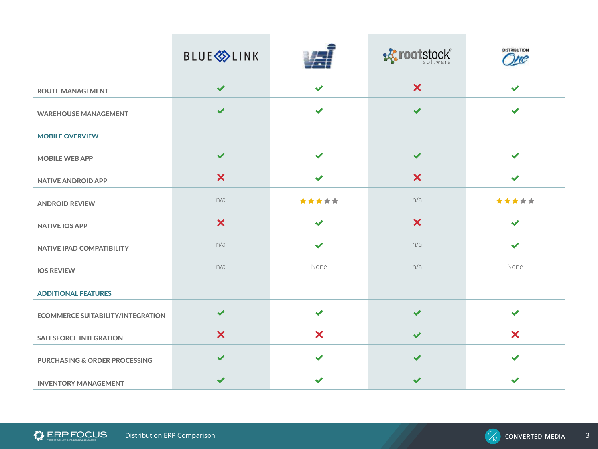|                                          | <b>BLUE</b> <sup></sup>   |                           | <b>EX rootstock®</b>      | <b>DISTRIBUTION</b><br>me |
|------------------------------------------|---------------------------|---------------------------|---------------------------|---------------------------|
| <b>ROUTE MANAGEMENT</b>                  | $\checkmark$              | ✔                         | $\boldsymbol{\mathsf{x}}$ | ✔                         |
| <b>WAREHOUSE MANAGEMENT</b>              | $\checkmark$              | $\checkmark$              | $\checkmark$              | $\blacktriangleright$     |
| <b>MOBILE OVERVIEW</b>                   |                           |                           |                           |                           |
| <b>MOBILE WEB APP</b>                    | $\checkmark$              | $\checkmark$              | $\checkmark$              | $\checkmark$              |
| <b>NATIVE ANDROID APP</b>                | $\boldsymbol{\mathsf{x}}$ | ✔                         | $\boldsymbol{\mathsf{x}}$ |                           |
| <b>ANDROID REVIEW</b>                    | n/a                       | *****                     | n/a                       | *****                     |
| <b>NATIVE IOS APP</b>                    | $\boldsymbol{\mathsf{x}}$ | $\checkmark$              | $\boldsymbol{\mathsf{x}}$ | ✔                         |
| NATIVE IPAD COMPATIBILITY                | n/a                       | ✔                         | n/a                       |                           |
| <b>IOS REVIEW</b>                        | n/a                       | None                      | n/a                       | None                      |
| <b>ADDITIONAL FEATURES</b>               |                           |                           |                           |                           |
| <b>ECOMMERCE SUITABILITY/INTEGRATION</b> | $\checkmark$              | $\checkmark$              | $\checkmark$              | ✔                         |
| <b>SALESFORCE INTEGRATION</b>            | $\overline{\mathsf{x}}$   | $\boldsymbol{\mathsf{x}}$ | ✔                         | $\boldsymbol{\mathsf{x}}$ |
| <b>PURCHASING &amp; ORDER PROCESSING</b> | $\checkmark$              | $\checkmark$              | $\checkmark$              | $\checkmark$              |
| <b>INVENTORY MANAGEMENT</b>              | $\checkmark$              | ✔                         | ✔                         |                           |

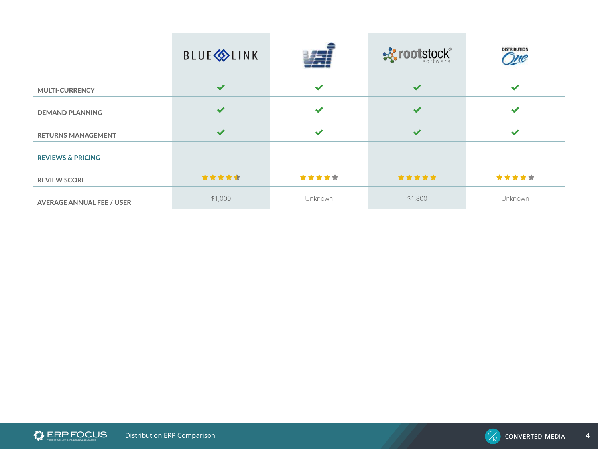|                                  | <b>BLUE</b> <sup></sup> |                | ·※ rootstock® | <b>DISTRIBUTION</b> |
|----------------------------------|-------------------------|----------------|---------------|---------------------|
| <b>MULTI-CURRENCY</b>            | $\checkmark$            | ✓              | $\checkmark$  | $\checkmark$        |
| <b>DEMAND PLANNING</b>           | $\checkmark$            | $\checkmark$   | $\checkmark$  | ✔                   |
| <b>RETURNS MANAGEMENT</b>        | $\checkmark$            | $\checkmark$   | $\checkmark$  | $\checkmark$        |
| <b>REVIEWS &amp; PRICING</b>     |                         |                |               |                     |
| <b>REVIEW SCORE</b>              | *****                   | *****          | *****         | *****               |
| <b>AVERAGE ANNUAL FEE / USER</b> | \$1,000                 | <b>Unknown</b> | \$1,800       | Unknown             |

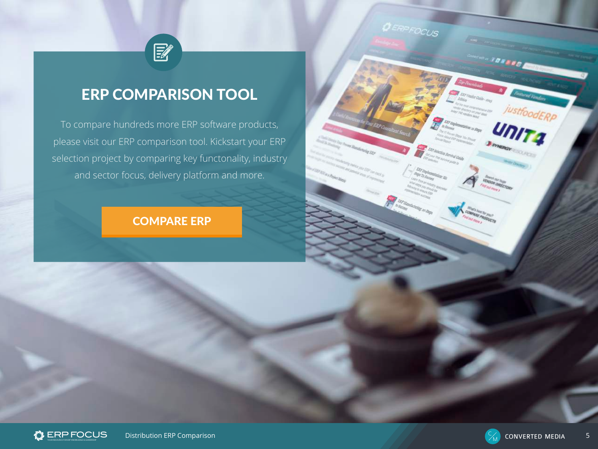

### ERP COMPARISON TOOL

To compare hundreds more ERP software products, please visit our ERP comparison tool. Kickstart your ERP selection project by comparing key functonality, industry and sector focus, delivery platform and more.

### [COMPARE ERP](http://www.erpfocus.com/erp-product-comparison.html)





DERPFOCUS

705300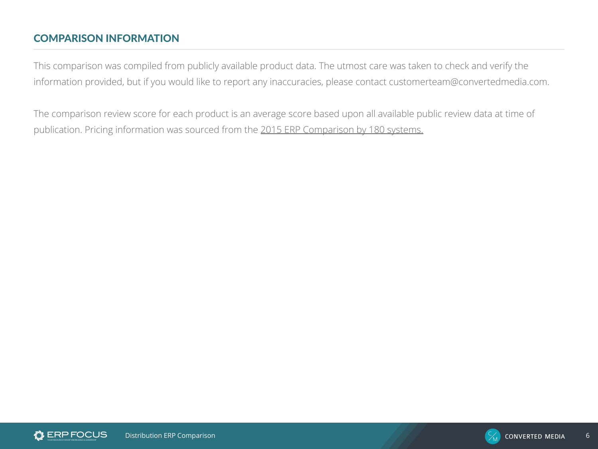#### COMPARISON INFORMATION

This comparison was compiled from publicly available product data. The utmost care was taken to check and verify the information provided, but if you would like to report any inaccuracies, please contact [customerteam@convertedmedia.com.](mailto:customerteam%40convertedmedia.com?subject=)

The comparison review score for each product is an average score based upon all available public review data at time of publication. Pricing information was sourced from the [2015 ERP Comparison by 180 systems.](http://www.180systems.com/articles-and-research/erp/erp-system-comparison/%23)